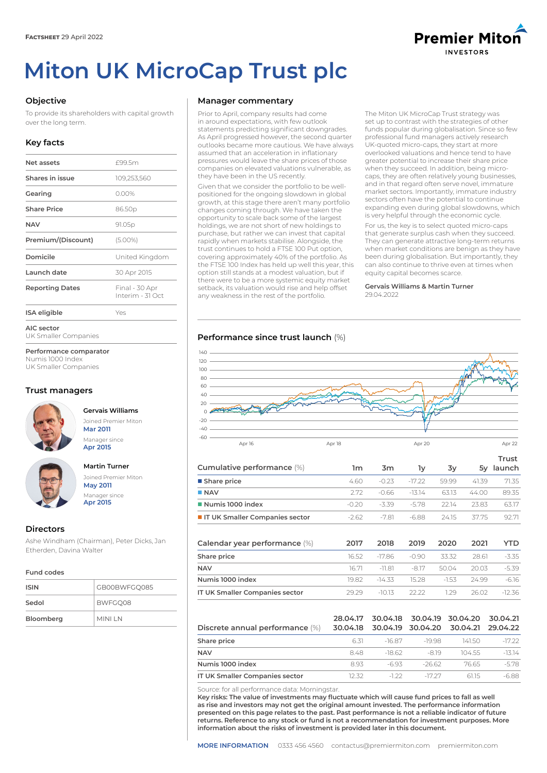# **Miton UK MicroCap Trust plc**



To provide its shareholders with capital growth over the long term.

# **Key facts**

| Net assets             | £99.5m                             |
|------------------------|------------------------------------|
| Shares in issue        | 109,253,560                        |
| Gearing                | 0.00%                              |
| <b>Share Price</b>     | 86.50p                             |
| <b>NAV</b>             | 91.05p                             |
| Premium/(Discount)     | $(5.00\%)$                         |
| Domicile               | United Kingdom                     |
| Launch date            | 30 Apr 2015                        |
| <b>Reporting Dates</b> | Final - 30 Apr<br>Interim - 31 Oct |
| <b>ISA</b> eligible    | Yes                                |

**AIC sector**

UK Smaller Companies

**Performance comparator** Numis 1000 Index

UK Smaller Companies

# **Trust managers**



**Gervais Williams** Joined Premier Miton **Mar 2011** Manager since **Apr 2015**



**Martin Turner** Joined Premier Miton

**May 2011** Manager since **Apr 2015**

# **Directors**

Ashe Windham (Chairman), Peter Dicks, Jan Etherden, Davina Walter

#### **Fund codes**

| <b>ISIN</b> | GB00BWFGO085 |
|-------------|--------------|
| Sedol       | BWFGO08      |
| Bloomberg   | MINI LN      |

## **Manager commentary**

Prior to April, company results had come in around expectations, with few outlook statements predicting significant downgrades. As April progressed however, the second quarter outlooks became more cautious. We have always assumed that an acceleration in inflationary pressures would leave the share prices of those companies on elevated valuations vulnerable, as they have been in the US recently.

Given that we consider the portfolio to be wellpositioned for the ongoing slowdown in global growth, at this stage there aren't many portfolio changes coming through. We have taken the opportunity to scale back some of the largest holdings, we are not short of new holdings to purchase, but rather we can invest that capital rapidly when markets stabilise. Alongside, the trust continues to hold a FTSE 100 Put option, covering approximately 40% of the portfolio. As the FTSE 100 Index has held up well this year, this option still stands at a modest valuation, but if there were to be a more systemic equity market setback, its valuation would rise and help offset any weakness in the rest of the portfolio.

The Miton UK MicroCap Trust strategy was set up to contrast with the strategies of other funds popular during globalisation. Since so few professional fund managers actively research UK-quoted micro-caps, they start at more overlooked valuations and hence tend to have greater potential to increase their share price when they succeed. In addition, being microcaps, they are often relatively young businesses, and in that regard often serve novel, immature market sectors. Importantly, immature industry sectors often have the potential to continue expanding even during global slowdowns, which is very helpful through the economic cycle.

For us, the key is to select quoted micro-caps that generate surplus cash when they succeed. They can generate attractive long-term returns when market conditions are benign as they have been during globalisation. But importantly, they can also continue to thrive even at times when equity capital becomes scarce.

**Gervais Williams & Martin Turner** 29.04.2022

# **Performance since trust launch** (%)



| Cumulative performance (%)       | 1m    | 3m      | ٦v      | 3v    | 5v    | Trust<br>launch |
|----------------------------------|-------|---------|---------|-------|-------|-----------------|
| ■ Share price                    | 460   | $-0.23$ | -17 22  | 5999  | 41.39 | 71.35           |
| NAV                              | 272   | -0.66   | $-1314$ | 63.13 | 44.00 | 89.35           |
| Numis 1000 index                 | -0.20 | -3.39   | -578    | 22.14 | 2383  | 6317            |
| I IT UK Smaller Companies sector | -262  | -7.81   | -6.88   | 2415  | 3775  | 92.71           |
|                                  |       |         |         |       |       |                 |

| Calendar year performance (%)  | 2017    | 2018     | 2019    | 2020            | 2021   | YTD.     |
|--------------------------------|---------|----------|---------|-----------------|--------|----------|
| Share price                    | 16.52   | -1786    | -0.90   | - 33.32         | 28.61  | $-3.35$  |
| <b>NAV</b>                     | 16.71   | -11.81   | -817    | 50.04           | 20.03  | -5.39    |
| Numis 1000 index               | 19.82 - | $-14.33$ |         | 1528 - 153 2499 |        | -6.16    |
| IT UK Smaller Companies sector | 29.29   | $-1013$  | - 22.22 | 129             | 26.02. | $-12.36$ |

| Discrete annual performance (%) |       |        |        | 28.04.17 30.04.18 30.04.19 30.04.20 30.04.21<br>30.04.18 30.04.19 30.04.20 30.04.21 29.04.22 |          |
|---------------------------------|-------|--------|--------|----------------------------------------------------------------------------------------------|----------|
| Share price                     | 6.31  | -16.87 | -19 98 | 141.50                                                                                       | $-17.22$ |
| <b>NAV</b>                      | 8.48  | -18.62 | -819   | 104.55                                                                                       | $-1314$  |
| Numis 1000 index                | 893   | $-693$ | -26.62 | 76 65                                                                                        | $-5.78$  |
| IT UK Smaller Companies sector  | 12.32 | $-122$ | -17 27 | 6115                                                                                         | -6.88    |

Source: for all performance data: Morningstar.

**Key risks: The value of investments may fluctuate which will cause fund prices to fall as well as rise and investors may not get the original amount invested. The performance information presented on this page relates to the past. Past performance is not a reliable indicator of future returns. Reference to any stock or fund is not a recommendation for investment purposes. More information about the risks of investment is provided later in this document.**



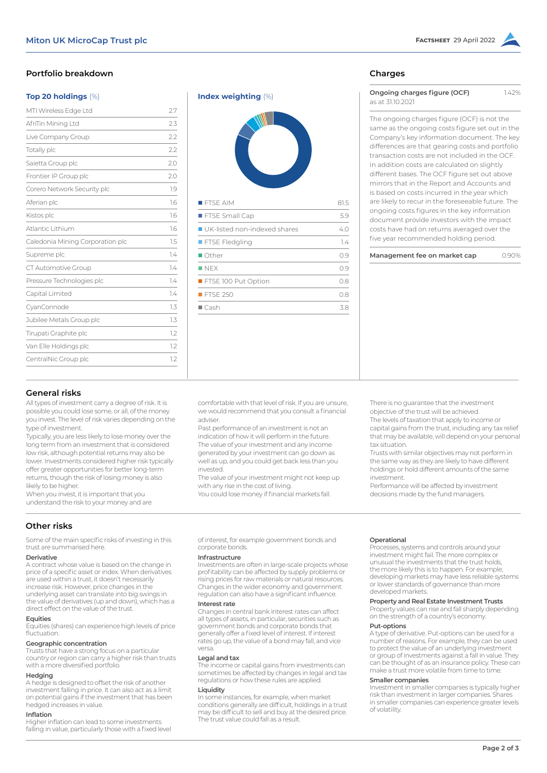# **Portfolio breakdown**

#### **Top 20 holdings** (%)

| MTI Wireless Edge Ltd            | 2.7 |
|----------------------------------|-----|
| AfriTin Mining Ltd               | 2.3 |
| Live Company Group               | 2.2 |
| Totally plc                      | 2.2 |
| Saietta Group plc                | 2.0 |
| Frontier IP Group plc            | 2.0 |
| Corero Network Security plc      | 1.9 |
| Aferian plc                      | 1.6 |
| Kistos plc                       | 1.6 |
| Atlantic Lithium                 | 1.6 |
| Caledonia Mining Corporation plc | 1.5 |
| Supreme plc                      | 1.4 |
| CT Automotive Group              | 1.4 |
| Pressure Technologies plc        | 1.4 |
| Capital Limited                  | 1.4 |
| CyanConnode                      | 1.3 |
| Jubilee Metals Group plc         | 1.3 |
| Tirupati Graphite plc            | 1.2 |
| Van Elle Holdings plc            | 12  |
| CentralNic Group plc             | 1.2 |
|                                  |     |



# **Charges**

| Ongoing charges figure (OCF) | 1.42% |
|------------------------------|-------|
| as at 31,10,2021             |       |

The ongoing charges figure (OCF) is not the same as the ongoing costs figure set out in the Company's key information document. The key differences are that gearing costs and portfolio transaction costs are not included in the OCF. In addition costs are calculated on slightly different bases. The OCF figure set out above mirrors that in the Report and Accounts and is based on costs incurred in the year which are likely to recur in the foreseeable future. The ongoing costs figures in the key information document provide investors with the impact costs have had on returns averaged over the five year recommended holding period.

| Management fee on market cap |  | 0.90% |
|------------------------------|--|-------|
|------------------------------|--|-------|

#### **General risks**

All types of investment carry a degree of risk. It is possible you could lose some, or all, of the money you invest. The level of risk varies depending on the type of investment.

Typically, you are less likely to lose money over the long term from an investment that is considered low risk, although potential returns may also be lower. Investments considered higher risk typically offer greater opportunities for better long-term returns, though the risk of losing money is also likely to be higher.

When you invest, it is important that you understand the risk to your money and are

# **Other risks**

Some of the main specific risks of investing in this trust are summarised here.

# **Derivative**

A contract whose value is based on the change in price of a specific asset or index. When derivatives are used within a trust, it doesn't necessarily increase risk. However, price changes in the underlying asset can translate into big swings in the value of derivatives (up and down), which has a direct effect on the value of the trust.

#### **Equities**

Equities (shares) can experience high levels of price fluctuation.

#### **Geographic concentration**

Trusts that have a strong focus on a particular country or region can carry a higher risk than trusts with a more diversified portfolio.

#### **Hedging**

A hedge is designed to offset the risk of another investment falling in price. It can also act as a limit on potential gains if the investment that has been hedged increases in value.

#### **Inflation**

Higher inflation can lead to some investments falling in value, particularly those with a fixed level You could lose money if financial markets fall.

The value of your investment might not keep up

with any rise in the cost of living.

comfortable with that level of risk. If you are unsure, we would recommend that you consult a financial

Past performance of an investment is not an indication of how it will perform in the future. The value of your investment and any income generated by your investment can go down as well as up, and you could get back less than you

of interest, for example government bonds and corporate bonds.

### **Infrastructure**

adviser.

invested.

Investments are often in large-scale projects whose profitability can be affected by supply problems or rising prices for raw materials or natural resources. Changes in the wider economy and government regulation can also have a significant influence.

#### **Interest rate**

Changes in central bank interest rates can affect all types of assets, in particular, securities such as government bonds and corporate bonds that generally offer a fixed level of interest. If interest rates go up, the value of a bond may fall, and vice versa.

#### **Legal and tax**

The income or capital gains from investments can sometimes be affected by changes in legal and tax regulations or how these rules are applied.

### **Liquidity**

In some instances, for example, when market conditions generally are difficult, holdings in a trust may be difficult to sell and buy at the desired price. The trust value could fall as a result.

The levels of taxation that apply to income or capital gains from the trust, including any tax relief

There is no guarantee that the investment objective of the trust will be achieved.

that may be available, will depend on your personal tax situation.

Trusts with similar objectives may not perform in the same way as they are likely to have different holdings or hold different amounts of the same investment.

Performance will be affected by investment decisions made by the fund managers.

#### **Operational**

Processes, systems and controls around your investment might fail. The more complex or unusual the investments that the trust holds, the more likely this is to happen. For example, developing markets may have less reliable systems or lower standards of governance than more developed markets.

#### **Property and Real Estate Investment Trusts**

Property values can rise and fall sharply depending on the strength of a country's economy.

#### **Put-options**

A type of derivative. Put-options can be used for a number of reasons. For example, they can be used to protect the value of an underlying investment or group of investments against a fall in value. They can be thought of as an insurance policy. These can make a trust more volatile from time to time.

#### **Smaller companies**

Investment in smaller companies is typically higher risk than investment in larger companies. Shares in smaller companies can experience greater levels of volatility.